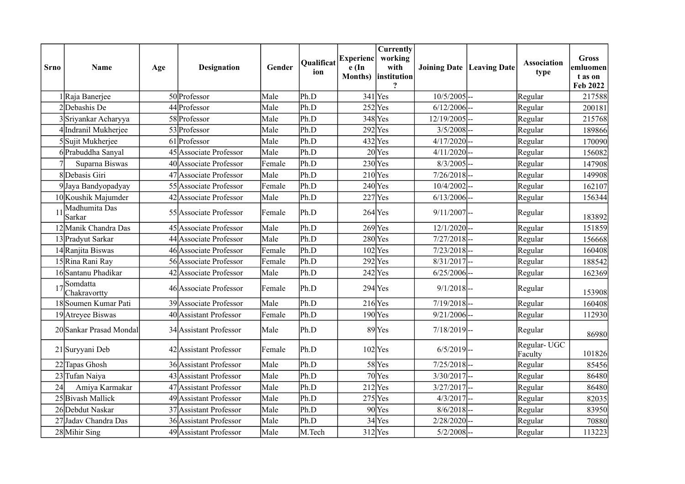| <b>Srno</b> | <b>Name</b>              | Age | <b>Designation</b>     | Gender | <b>Oualificat</b><br>ion | <b>Experienc</b><br>e (In | Currently<br>working<br>with<br>Months) institution |                | <b>Joining Date   Leaving Date</b> | <b>Association</b><br>type | <b>Gross</b><br>emluomen<br>t as on<br>Feb 2022 |
|-------------|--------------------------|-----|------------------------|--------|--------------------------|---------------------------|-----------------------------------------------------|----------------|------------------------------------|----------------------------|-------------------------------------------------|
|             | 1 Raja Banerjee          |     | 50 Professor           | Male   | Ph.D                     |                           | $341$ Yes                                           | $10/5/2005$ -- |                                    | Regular                    | 217588                                          |
|             | 2Debashis De             |     | 44 Professor           | Male   | Ph.D                     |                           | $252$ Yes                                           | $6/12/2006$ -- |                                    | Regular                    | 200181                                          |
|             | 3Sriyankar Acharyya      |     | 58 Professor           | Male   | Ph.D                     |                           | $348$ Yes                                           | 12/19/2005     |                                    | Regular                    | 215768                                          |
|             | 4 Indranil Mukherjee     |     | 53 Professor           | Male   | Ph.D                     |                           | $292$ <sup>Yes</sup>                                | 3/5/2008       |                                    | Regular                    | 189866                                          |
|             | 5Sujit Mukherjee         |     | 61 Professor           | Male   | Ph.D                     |                           | $432$ Yes                                           | 4/17/2020      |                                    | Regular                    | 170090                                          |
|             | 6Prabuddha Sanyal        |     | 45 Associate Professor | Male   | Ph.D                     |                           | $20$ Yes                                            | $4/11/2020$ -- |                                    | Regular                    | 156082                                          |
|             | Suparna Biswas           |     | 40 Associate Professor | Female | Ph.D                     |                           | $230$ Yes                                           | $8/3/2005$ --  |                                    | Regular                    | 147908                                          |
|             | 8Debasis Giri            |     | 47 Associate Professor | Male   | Ph.D                     |                           | $210$ Yes                                           | $7/26/2018$ -- |                                    | Regular                    | 149908                                          |
|             | 9Jaya Bandyopadyay       |     | 55 Associate Professor | Female | Ph.D                     |                           | $240$ Yes                                           | 10/4/2002      |                                    | Regular                    | 162107                                          |
|             | 10 Koushik Majumder      |     | 42 Associate Professor | Male   | Ph.D                     |                           | $227$ Yes                                           | $6/13/2006$ -- |                                    | Regular                    | 156344                                          |
| 11          | Madhumita Das<br>Sarkar  |     | 55 Associate Professor | Female | Ph.D                     |                           | $264$ Yes                                           | $9/11/2007$ -- |                                    | Regular                    | 183892                                          |
|             | 12 Manik Chandra Das     |     | 45 Associate Professor | Male   | Ph.D                     | $269$ Yes                 |                                                     | $12/1/2020$ -- |                                    | Regular                    | 151859                                          |
|             | 13 Pradyut Sarkar        |     | 44 Associate Professor | Male   | Ph.D                     |                           | $280$ Yes                                           | $7/27/2018$ -- |                                    | Regular                    | 156668                                          |
|             | 14 Ranjita Biswas        |     | 46 Associate Professor | Female | Ph.D                     |                           | $102$ Yes                                           | $7/23/2018$ -- |                                    | Regular                    | 160408                                          |
|             | 15 Rina Rani Ray         |     | 56 Associate Professor | Female | Ph.D                     |                           | $292$ Yes                                           | $8/31/2017$ -- |                                    | Regular                    | 188542                                          |
|             | 16 Santanu Phadikar      |     | 42 Associate Professor | Male   | Ph.D                     |                           | $242$ Yes                                           | $6/25/2006$ -- |                                    | Regular                    | 162369                                          |
| 17          | Somdatta<br>Chakravortty |     | 46 Associate Professor | Female | Ph.D                     |                           | $294$ Yes                                           | $9/1/2018$ --  |                                    | Regular                    | 153908                                          |
|             | 18Soumen Kumar Pati      |     | 39 Associate Professor | Male   | Ph.D                     | $216$ Yes                 |                                                     | $7/19/2018$ -- |                                    | Regular                    | 160408                                          |
|             | 19 Atreyee Biswas        |     | 40 Assistant Professor | Female | Ph.D                     |                           | $190$ <sup>Yes</sup>                                | $9/21/2006$ -- |                                    | Regular                    | 112930                                          |
|             | 20 Sankar Prasad Mondal  |     | 34 Assistant Professor | Male   | Ph.D                     |                           | $89$ Yes                                            | $7/18/2019$ -- |                                    | Regular                    | 86980                                           |
|             | 21 Suryyani Deb          |     | 42 Assistant Professor | Female | Ph.D                     |                           | $102$ Yes                                           | $6/5/2019$ --  |                                    | Regular-UGC<br>Faculty     | 101826                                          |
|             | 22 Tapas Ghosh           |     | 36 Assistant Professor | Male   | Ph.D                     |                           | 58Yes                                               | $7/25/2018$ -- |                                    | Regular                    | 85456                                           |
|             | 23 Tufan Naiya           |     | 43 Assistant Professor | Male   | Ph.D                     |                           | $70$ Yes                                            | $3/30/2017$ -- |                                    | Regular                    | 86480                                           |
| 24          | Amiya Karmakar           |     | 47 Assistant Professor | Male   | Ph.D                     |                           | $212$ Yes                                           | $3/27/2017$ -- |                                    | Regular                    | 86480                                           |
|             | 25 Bivash Mallick        |     | 49 Assistant Professor | Male   | Ph.D                     |                           | $275$ Yes                                           | $4/3/2017$ --  |                                    | Regular                    | 82035                                           |
|             | 26 Debdut Naskar         |     | 37 Assistant Professor | Male   | Ph.D                     |                           | 90Yes                                               | $8/6/2018$ --  |                                    | Regular                    | 83950                                           |
|             | 27 Jadav Chandra Das     |     | 36 Assistant Professor | Male   | Ph.D                     |                           | 34Yes                                               | 2/28/2020      |                                    | Regular                    | 70880                                           |
|             | 28 Mihir Sing            |     | 49 Assistant Professor | Male   | M.Tech                   |                           | $312$ Yes                                           | 5/2/2008       |                                    | Regular                    | 113223                                          |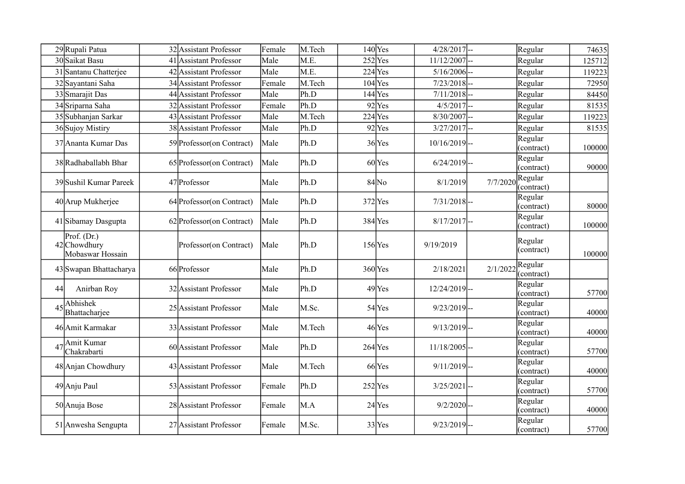|    | 29Rupali Patua                                    | 32 Assistant Professor     | Female | M.Tech | $140$ Yes           | $4/28/2017$ --  |          |                       |        |
|----|---------------------------------------------------|----------------------------|--------|--------|---------------------|-----------------|----------|-----------------------|--------|
|    |                                                   |                            |        |        |                     |                 |          | Regular               | 74635  |
|    | 30 Saikat Basu                                    | 41 Assistant Professor     | Male   | M.E    | $252$ Yes           | 11/12/2007      |          | Regular               | 125712 |
| 31 | Santanu Chatterjee                                | 42 Assistant Professor     | Male   | M.E    | $224$ Yes           | 5/16/2006       |          | Regular               | 119223 |
|    | 32 Sayantani Saha                                 | 34 Assistant Professor     | Female | M.Tech | $104$ Yes           | $7/23/2018$ --  |          | Regular               | 72950  |
|    | 33 Smarajit Das                                   | 44 Assistant Professor     | Male   | Ph.D   | $144$ Yes           | 7/11/2018       | Ц,       | Regular               | 84450  |
|    | 34Sriparna Saha                                   | 32 Assistant Professor     | Female | Ph.D   | 92 Yes              | 4/5/2017        |          | Regular               | 81535  |
|    | 35 Subhanjan Sarkar                               | 43 Assistant Professor     | Male   | M.Tech | $224$ Yes           | 8/30/2007       |          | Regular               | 119223 |
|    | 36 Sujoy Mistiry                                  | 38 Assistant Professor     | Male   | Ph.D   | $92$ Yes            | $3/27/2017$ --  |          | Regular               | 81535  |
|    | 37 Ananta Kumar Das                               | 59 Professor (on Contract) | Male   | Ph.D   | $36$ Yes            | $10/16/2019$ -- |          | Regular<br>(contract) | 100000 |
|    | 38 Radhaballabh Bhar                              | 65 Professor (on Contract) | Male   | Ph.D   | $60$ <sup>Yes</sup> | $6/24/2019$ --  |          | Regular<br>(contract) | 90000  |
|    | 39 Sushil Kumar Pareek                            | 47 Professor               | Male   | Ph.D   | $84$ No             | 8/1/2019        | 7/7/2020 | Regular<br>(contract) |        |
|    | 40 Arup Mukherjee                                 | 64 Professor (on Contract) | Male   | Ph.D   | $372$ Yes           | $7/31/2018$ -   |          | Regular<br>(contract) | 80000  |
|    | 41 Sibamay Dasgupta                               | 62 Professor (on Contract) | Male   | Ph.D   | 384 Yes             | $8/17/2017$ --  |          | Regular<br>(contract) | 100000 |
|    | Prof. $(Dr.)$<br>42 Chowdhury<br>Mobaswar Hossain | Professor(on Contract)     | Male   | Ph.D   | $156$ Yes           | 9/19/2019       |          | Regular<br>(contract) | 100000 |
|    | 43 Swapan Bhattacharya                            | 66 Professor               | Male   | Ph.D   | $360$ Yes           | 2/18/2021       | 2/1/2022 | Regular<br>(contract) |        |
| 44 | Anirban Roy                                       | 32 Assistant Professor     | Male   | Ph.D   | $49$ Yes            | 12/24/2019-     |          | Regular<br>(contract) | 57700  |
| 45 | <b>Abhishek</b><br>Bhattacharjee                  | 25 Assistant Professor     | Male   | M.Sc.  | 54Yes               | $9/23/2019$ --  |          | Regular<br>(contract) | 40000  |
|    | 46 Amit Karmakar                                  | 33 Assistant Professor     | Male   | M.Tech | $46$ Yes            | $9/13/2019$ --  |          | Regular<br>(contract) | 40000  |
| 47 | Amit Kumar<br>Chakrabarti                         | 60 Assistant Professor     | Male   | Ph.D   | $264$ Yes           | $11/18/2005$ -- |          | Regular<br>(contract) | 57700  |
|    | 48 Anjan Chowdhury                                | 43 Assistant Professor     | Male   | M.Tech | 66 <sub>Yes</sub>   | $9/11/2019$ --  |          | Regular<br>(contract) | 40000  |
|    | 49 Anju Paul                                      | 53 Assistant Professor     | Female | Ph.D   | $252$ Yes           | 3/25/2021       | l--      | Regular<br>(contract) | 57700  |
|    | 50 Anuja Bose                                     | 28 Assistant Professor     | Female | M.A    | 24 <sub>Yes</sub>   | $9/2/2020$ --   |          | Regular<br>(contract) | 40000  |
|    | 51 Anwesha Sengupta                               | 27 Assistant Professor     | Female | M.Sc.  | $33$ Yes            | $9/23/2019$ --  |          | Regular<br>(contract) | 57700  |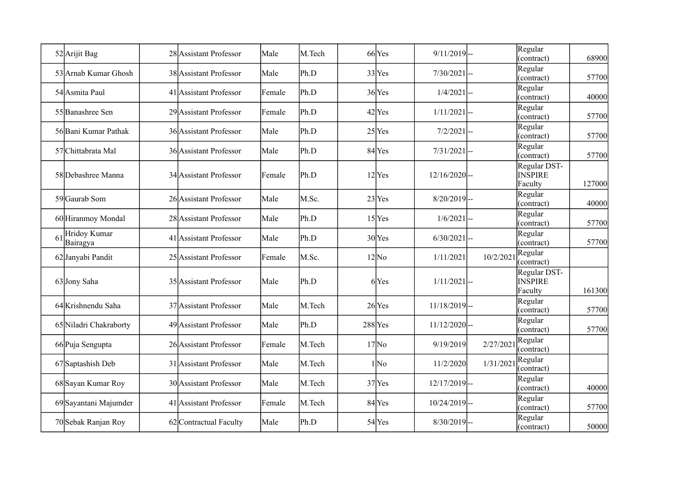|    | 52 Arijit Bag            | 28 Assistant Professor | Male   | M.Tech | 66Yes              | $9/11/2019$ --  |           | Regular<br>(contract)                     | 68900  |
|----|--------------------------|------------------------|--------|--------|--------------------|-----------------|-----------|-------------------------------------------|--------|
|    | 53 Arnab Kumar Ghosh     | 38 Assistant Professor | Male   | Ph.D   | 33 Yes             | $7/30/2021$ --  |           | Regular<br>(contract)                     | 57700  |
|    | 54 Asmita Paul           | 41 Assistant Professor | Female | Ph.D   | 36 Yes             | $1/4/2021$ --   |           | Regular<br>(contract)                     | 40000  |
|    | 55 Banashree Sen         | 29 Assistant Professor | Female | Ph.D   | $42$ Yes           | $1/11/2021$ --  |           | Regular<br>(contract)                     | 57700  |
|    | 56 Bani Kumar Pathak     | 36 Assistant Professor | Male   | Ph.D   | $25$ Yes           | $7/2/2021$ --   |           | Regular<br>(contract)                     | 57700  |
|    | 57 Chittabrata Mal       | 36 Assistant Professor | Male   | Ph.D   | 84 Yes             | $7/31/2021$ --  |           | Regular<br>(contract)                     | 57700  |
|    | 58 Debashree Manna       | 34 Assistant Professor | Female | Ph.D   | $12$ Yes           | $12/16/2020$ -- |           | Regular DST-<br><b>INSPIRE</b><br>Faculty | 127000 |
|    | 59 Gaurab Som            | 26 Assistant Professor | Male   | M.Sc.  | $23$ Yes           | $8/20/2019$ --  |           | Regular<br>(contract)                     | 40000  |
|    | 60 Hiranmoy Mondal       | 28 Assistant Professor | Male   | Ph.D   | $15$ Yes           | $1/6/2021$ --   |           | Regular<br>(contract)                     | 57700  |
| 61 | Hridoy Kumar<br>Bairagya | 41 Assistant Professor | Male   | Ph.D   | $30$ Yes           | $6/30/2021$ --  |           | Regular<br>(contract)                     | 57700  |
|    | 62 Janyabi Pandit        | 25 Assistant Professor | Female | M.Sc.  | $12$ <sub>No</sub> | 1/11/2021       | 10/2/2021 | Regular<br>(contract)                     |        |
|    | 63Jony Saha              | 35 Assistant Professor | Male   | Ph.D   | 6Yes               | $1/11/2021$ --  |           | Regular DST-<br><b>INSPIRE</b><br>Faculty | 161300 |
|    | 64 Krishnendu Saha       | 37 Assistant Professor | Male   | M.Tech | $26$ Yes           | $11/18/2019$ -- |           | Regular<br>(contract)                     | 57700  |
|    | 65 Niladri Chakraborty   | 49 Assistant Professor | Male   | Ph.D   | $288$ Yes          | $11/12/2020$ -- |           | Regular<br>(contract)                     | 57700  |
|    | 66 Puja Sengupta         | 26 Assistant Professor | Female | M.Tech | $17$ No            | 9/19/2019       | 2/27/202  | Regular<br>(contract)                     |        |
|    | 67 Saptashish Deb        | 31 Assistant Professor | Male   | M.Tech | $1$ No             | 11/2/2020       | 1/31/2021 | Regular<br>(contract)                     |        |
|    | 68 Sayan Kumar Roy       | 30 Assistant Professor | Male   | M.Tech | $37$ Yes           | $12/17/2019$ -- |           | Regular<br>(contract)                     | 40000  |
|    | 69 Sayantani Majumder    | 41 Assistant Professor | Female | M.Tech | 84Yes              | $10/24/2019$ -- |           | Regular<br>(contract)                     | 57700  |
|    | 70 Sebak Ranjan Roy      | 62 Contractual Faculty | Male   | Ph.D   | 54 Yes             | $8/30/2019$ --  |           | Regular<br>(contract)                     | 50000  |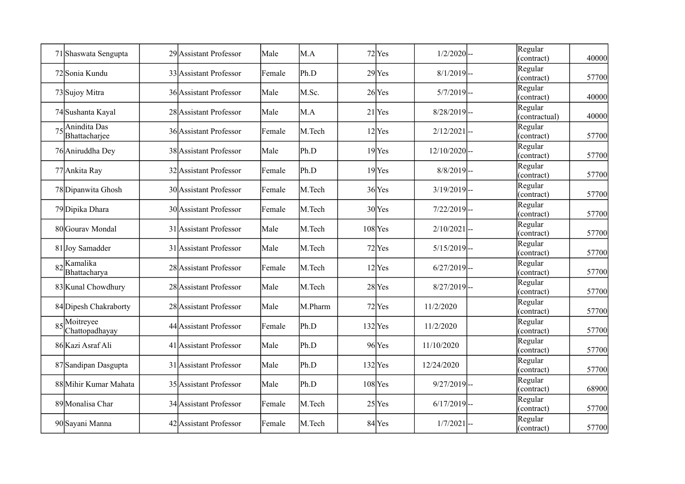|    | 71 Shaswata Sengupta                              | 29 Assistant Professor | Male   | M.A     | 72 Yes              | $1/2/2020$ --   | Regular<br>(contract)    | 40000 |
|----|---------------------------------------------------|------------------------|--------|---------|---------------------|-----------------|--------------------------|-------|
|    | 72 Sonia Kundu                                    | 33 Assistant Professor | Female | Ph.D    | $29$ Yes            | $8/1/2019$ --   | Regular<br>(contract)    | 57700 |
|    | 73 Sujoy Mitra                                    | 36 Assistant Professor | Male   | M.Sc.   | $26$ Yes            | $5/7/2019$ --   | Regular<br>(contract)    | 40000 |
|    | 74 Sushanta Kayal                                 | 28 Assistant Professor | Male   | M.A     | $21$ Yes            | $8/28/2019$ --  | Regular<br>(contractual) | 40000 |
| 75 | Anindita Das<br>Bhattacharjee                     | 36 Assistant Professor | Female | M.Tech  | $12$ Yes            | $2/12/2021$ --  | Regular<br>(contract)    | 57700 |
|    | 76 Aniruddha Dey                                  | 38 Assistant Professor | Male   | Ph.D    | $19$ <sup>Yes</sup> | $12/10/2020$ -- | Regular<br>(contract)    | 57700 |
|    | 77 Ankita Ray                                     | 32 Assistant Professor | Female | Ph.D    | $19$ Yes            | $8/8/2019$ --   | Regular<br>(contract)    | 57700 |
|    | 78 Dipanwita Ghosh                                | 30 Assistant Professor | Female | M.Tech  | $36$ Yes            | $3/19/2019$ --  | Regular<br>(contract)    | 57700 |
|    | 79 Dipika Dhara                                   | 30 Assistant Professor | Female | M.Tech  | $30$ Yes            | $7/22/2019$ --  | Regular<br>(contract)    | 57700 |
|    | 80 Gourav Mondal                                  | 31 Assistant Professor | Male   | M.Tech  | $108$ Yes           | $2/10/2021$ -   | Regular<br>(contract)    | 57700 |
|    | 81 Joy Samadder                                   | 31 Assistant Professor | Male   | M.Tech  | 72 Yes              | $5/15/2019$ --  | Regular<br>(contract)    | 57700 |
|    | $82$ <sup>K</sup> amalika<br>Bhattacharya         | 28 Assistant Professor | Female | M.Tech  | $12$ Yes            | $6/27/2019$ --  | Regular<br>(contract)    | 57700 |
|    | 83 Kunal Chowdhury                                | 28 Assistant Professor | Male   | M.Tech  | 28 Yes              | $8/27/2019$ --  | Regular<br>(contract)    | 57700 |
|    | 84 Dipesh Chakraborty                             | 28 Assistant Professor | Male   | M.Pharm | 72 Yes              | 11/2/2020       | Regular<br>(contract)    | 57700 |
|    | $85\overline{\text{Moitreyee}}$<br>Chattopadhayay | 44 Assistant Professor | Female | Ph.D    | $132$ Yes           | 11/2/2020       | Regular<br>(contract)    | 57700 |
|    | 86 Kazi Asraf Ali                                 | 41 Assistant Professor | Male   | Ph.D    | $96$ Yes            | 11/10/2020      | Regular<br>(contract)    | 57700 |
|    | 87 Sandipan Dasgupta                              | 31 Assistant Professor | Male   | Ph.D    | $132$ Yes           | 12/24/2020      | Regular<br>(contract)    | 57700 |
|    | 88 Mihir Kumar Mahata                             | 35 Assistant Professor | Male   | Ph.D    | $108$ Yes           | $9/27/2019$ --  | Regular<br>(contract)    | 68900 |
|    | 89 Monalisa Char                                  | 34 Assistant Professor | Female | M.Tech  | $25$ Yes            | $6/17/2019$ --  | Regular<br>(contract)    | 57700 |
|    | 90 Sayani Manna                                   | 42 Assistant Professor | Female | M.Tech  | 84Yes               | 1/7/2021        | Regular<br>(contract)    | 57700 |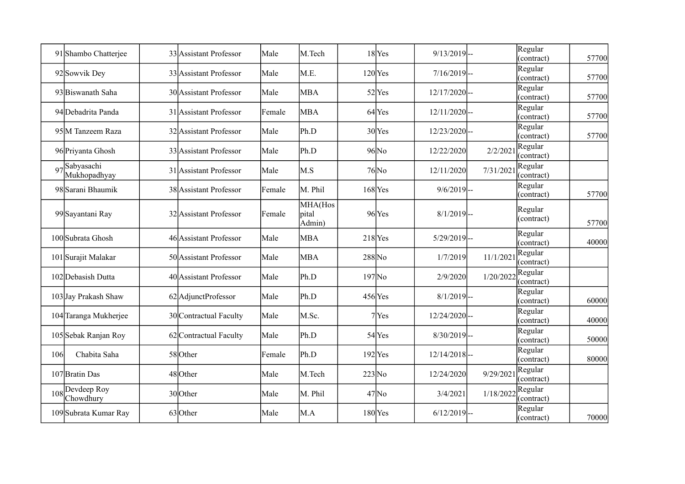|     | 91 Shambo Chatterjee         | 33 Assistant Professor | Male   | M.Tech                     |                     | $18$ Yes           | $9/13/2019$ --  |           | Regular<br>(contract) | 57700 |
|-----|------------------------------|------------------------|--------|----------------------------|---------------------|--------------------|-----------------|-----------|-----------------------|-------|
|     | 92 Sowvik Dey                | 33 Assistant Professor | Male   | M.E.                       |                     | $120$ Yes          | $7/16/2019$ --  |           | Regular<br>(contract) | 57700 |
|     | 93 Biswanath Saha            | 30 Assistant Professor | Male   | <b>MBA</b>                 |                     | $52$ Yes           | $12/17/2020$ -- |           | Regular<br>(contract) | 57700 |
|     | 94 Debadrita Panda           | 31 Assistant Professor | Female | <b>MBA</b>                 |                     | 64 <sub>Yes</sub>  | $12/11/2020$ -- |           | Regular<br>(contract) | 57700 |
|     | 95 M Tanzeem Raza            | 32 Assistant Professor | Male   | Ph.D                       |                     | $30$ Yes           | $12/23/2020$ -- |           | Regular<br>(contract) | 57700 |
|     | 96 Priyanta Ghosh            | 33 Assistant Professor | Male   | Ph.D                       |                     | $96$ <sub>No</sub> | 12/22/2020      | 2/2/2021  | Regular<br>(contract) |       |
| 97  | Sabyasachi<br>Mukhopadhyay   | 31 Assistant Professor | Male   | M.S                        |                     | $76$ No            | 12/11/2020      | 7/31/2021 | Regular<br>(contract) |       |
|     | 98 Sarani Bhaumik            | 38 Assistant Professor | Female | M. Phil                    |                     | $168$ Yes          | $9/6/2019$ --   |           | Regular<br>(contract) | 57700 |
|     | 99 Sayantani Ray             | 32 Assistant Professor | Female | MHA(Hos<br>pital<br>Admin) |                     | $96$ Yes           | $8/1/2019$ --   |           | Regular<br>(contract) | 57700 |
|     | 100 Subrata Ghosh            | 46 Assistant Professor | Male   | <b>MBA</b>                 |                     | $218$ Yes          | $5/29/2019$ --  |           | Regular<br>(contract) | 40000 |
|     | 101 Surajit Malakar          | 50 Assistant Professor | Male   | <b>MBA</b>                 | $288$ <sub>No</sub> |                    | 1/7/2019        | 11/1/2021 | Regular<br>(contract) |       |
|     | 102 Debasish Dutta           | 40 Assistant Professor | Male   | Ph.D                       | $197$ No            |                    | 2/9/2020        | 1/20/2022 | Regular<br>(contract) |       |
|     | 103 Jay Prakash Shaw         | 62 AdjunctProfessor    | Male   | Ph.D                       |                     | $456$ Yes          | $8/1/2019$ --   |           | Regular<br>(contract) | 60000 |
|     | 104 Taranga Mukherjee        | 30 Contractual Faculty | Male   | M.Sc.                      |                     | $7$ Yes            | $12/24/2020$ -- |           | Regular<br>(contract) | 40000 |
|     | 105 Sebak Ranjan Roy         | 62 Contractual Faculty | Male   | Ph.D                       |                     | 54Yes              | $8/30/2019$ --  |           | Regular<br>(contract) | 50000 |
| 106 | Chabita Saha                 | 58 Other               | Female | Ph.D                       |                     | $192$ Yes          | $12/14/2018$ -- |           | Regular<br>(contract) | 80000 |
|     | 107 Bratin Das               | 48 Other               | Male   | M.Tech                     | $223$ No            |                    | 12/24/2020      | 9/29/2021 | Regular<br>(contract) |       |
|     | 108 Devdeep Roy<br>Chowdhury | 30Other                | Male   | M. Phil                    |                     | $47$ No            | 3/4/2021        | 1/18/202  | Regular<br>(contract) |       |
|     | 109 Subrata Kumar Ray        | 63Other                | Male   | M.A                        |                     | $180$ Yes          | $6/12/2019$ --  |           | Regular<br>(contract) | 70000 |